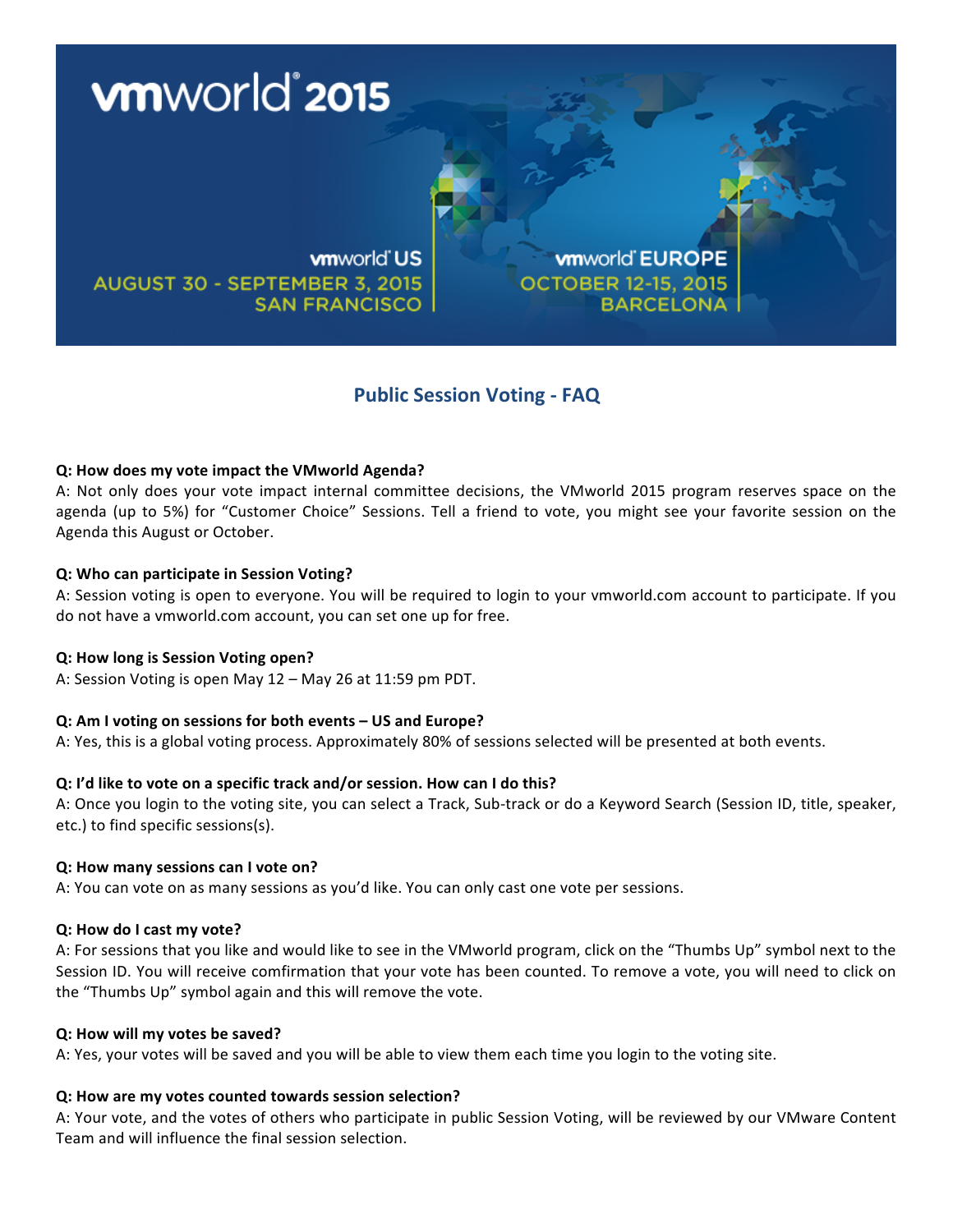

# **Public Session Voting - FAQ**

## **Q: How does my vote impact the VMworld Agenda?**

A: Not only does your vote impact internal committee decisions, the VMworld 2015 program reserves space on the agenda (up to 5%) for "Customer Choice" Sessions. Tell a friend to vote, you might see your favorite session on the Agenda this August or October.

## **Q:** Who can participate in Session Voting?

A: Session voting is open to everyone. You will be required to login to your vmworld.com account to participate. If you do not have a vmworld.com account, you can set one up for free.

## **Q: How long is Session Voting open?**

A: Session Voting is open May 12 - May 26 at 11:59 pm PDT.

## **Q: Am I voting on sessions for both events – US and Europe?**

A: Yes, this is a global voting process. Approximately 80% of sessions selected will be presented at both events.

#### **Q:** I'd like to vote on a specific track and/or session. How can I do this?

A: Once you login to the voting site, you can select a Track, Sub-track or do a Keyword Search (Session ID, title, speaker, etc.) to find specific sessions(s).

#### **Q: How many sessions can I vote on?**

A: You can vote on as many sessions as you'd like. You can only cast one vote per sessions.

#### **Q: How do I cast my vote?**

A: For sessions that you like and would like to see in the VMworld program, click on the "Thumbs Up" symbol next to the Session ID. You will receive comfirmation that your vote has been counted. To remove a vote, you will need to click on the "Thumbs Up" symbol again and this will remove the vote.

#### **Q:** How will my votes be saved?

A: Yes, your votes will be saved and you will be able to view them each time you login to the voting site.

#### **Q: How are my votes counted towards session selection?**

A: Your vote, and the votes of others who participate in public Session Voting, will be reviewed by our VMware Content Team and will influence the final session selection.